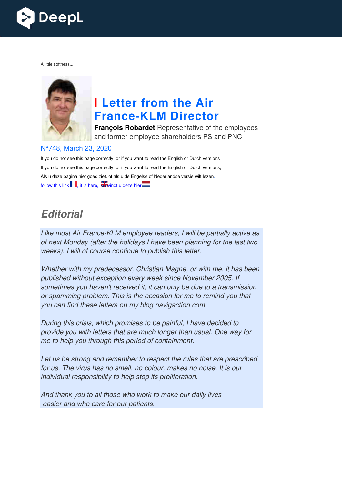

A little softness.....



# **I Letter from the Air France France-KLM Director**

**François Robardet** Representative of the employees and former employee shareholders PS and PNC

#### N°748, March 23, 2020

If you do not see this page correctly, or if you want to read the English or Dutch versions If you do not see this page correctly, or if you want to read the English or Dutch versions, Als u deze pagina niet goed ziet, of als u de Engelse of Nederlandse versie wilt lezen, follow this link  $\parallel$ , it is here, windt u deze hier

## *Editorial*

Like most Air France-KLM employee readers, I will be partially active as of next Monday (after the holidays I have been planning for the last two weeks). I will of course continue to publish this letter.

Whether with my predecessor, Christian Magne, or with me, it has been published without exception every week since November 2005. If sometimes you haven't received it, it can only be due to a transmission or spamming problem. This is the occasion for me to remind you that you can find these letters on my blog navigaction com

During this crisis, which promises to be painful, I have decided to provide you with letters that are much longer than usual. One way for me to help you through this period of containment.

Let us be strong and remember to respect the rules that are prescribed for us. The virus has no smell, no colour, makes no noise. It is our individual responsibility to help stop its proliferation.

And thank you to all those who work to make our daily lives easier and who care for our patients.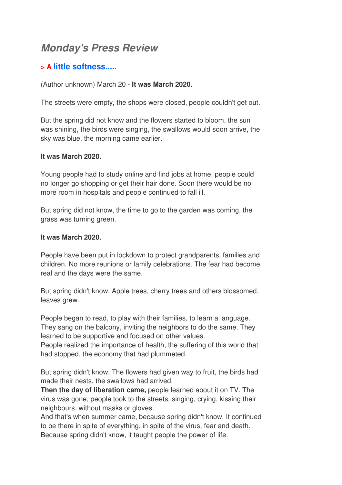## *Monday's Press Review*

## **> A little softness.....**

(Author unknown) March 20 - **It was March 2020.**

The streets were empty, the shops were closed, people couldn't get out.

But the spring did not know and the flowers started to bloom, the sun was shining, the birds were singing, the swallows would soon arrive, the sky was blue, the morning came earlier.

#### **It was March 2020.**

Young people had to study online and find jobs at home, people could no longer go shopping or get their hair done. Soon there would be no more room in hospitals and people continued to fall ill.

But spring did not know, the time to go to the garden was coming, the grass was turning green.

#### **It was March 2020.**

People have been put in lockdown to protect grandparents, families and children. No more reunions or family celebrations. The fear had become real and the days were the same.

But spring didn't know. Apple trees, cherry trees and others blossomed, leaves grew.

People began to read, to play with their families, to learn a language. They sang on the balcony, inviting the neighbors to do the same. They learned to be supportive and focused on other values.

People realized the importance of health, the suffering of this world that had stopped, the economy that had plummeted.

But spring didn't know. The flowers had given way to fruit, the birds had made their nests, the swallows had arrived.

**Then the day of liberation came,** people learned about it on TV. The virus was gone, people took to the streets, singing, crying, kissing their neighbours, without masks or gloves.

And that's when summer came, because spring didn't know. It continued to be there in spite of everything, in spite of the virus, fear and death. Because spring didn't know, it taught people the power of life.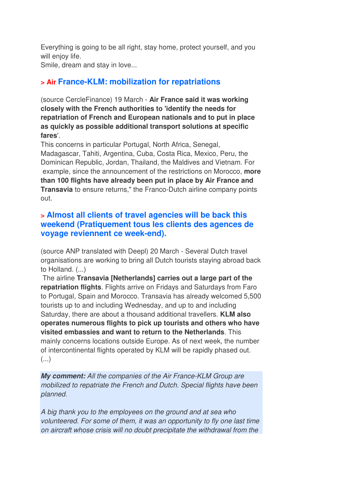Everything is going to be all right, stay home, protect yourself, and you will enjoy life.

Smile, dream and stay in love...

## **> Air France-KLM: mobilization for repatriations**

(source CercleFinance) 19 March - **Air France said it was working closely with the French authorities to 'identify the needs for repatriation of French and European nationals and to put in place as quickly as possible additional transport solutions at specific fares**'.

This concerns in particular Portugal, North Africa, Senegal, Madagascar, Tahiti, Argentina, Cuba, Costa Rica, Mexico, Peru, the Dominican Republic, Jordan, Thailand, the Maldives and Vietnam. For example, since the announcement of the restrictions on Morocco, **more than 100 flights have already been put in place by Air France and Transavia** to ensure returns," the Franco-Dutch airline company points out.

## **> Almost all clients of travel agencies will be back this weekend (Pratiquement tous les clients des agences de voyage reviennent ce week-end).**

(source ANP translated with Deepl) 20 March - Several Dutch travel organisations are working to bring all Dutch tourists staying abroad back to Holland. (...)

 The airline **Transavia [Netherlands] carries out a large part of the repatriation flights**. Flights arrive on Fridays and Saturdays from Faro to Portugal, Spain and Morocco. Transavia has already welcomed 5,500 tourists up to and including Wednesday, and up to and including Saturday, there are about a thousand additional travellers. **KLM also operates numerous flights to pick up tourists and others who have visited embassies and want to return to the Netherlands**. This mainly concerns locations outside Europe. As of next week, the number of intercontinental flights operated by KLM will be rapidly phased out. (...)

*My comment:* All the companies of the Air France-KLM Group are mobilized to repatriate the French and Dutch. Special flights have been planned.

A big thank you to the employees on the ground and at sea who volunteered. For some of them, it was an opportunity to fly one last time on aircraft whose crisis will no doubt precipitate the withdrawal from the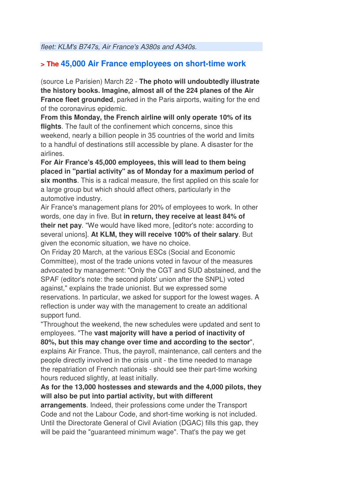fleet: KLM's B747s, Air France's A380s and A340s.

## **> The 45,000 Air France employees on short-time work**

(source Le Parisien) March 22 - **The photo will undoubtedly illustrate the history books. Imagine, almost all of the 224 planes of the Air France fleet grounded**, parked in the Paris airports, waiting for the end of the coronavirus epidemic.

**From this Monday, the French airline will only operate 10% of its flights**. The fault of the confinement which concerns, since this weekend, nearly a billion people in 35 countries of the world and limits to a handful of destinations still accessible by plane. A disaster for the airlines.

**For Air France's 45,000 employees, this will lead to them being placed in "partial activity" as of Monday for a maximum period of six months**. This is a radical measure, the first applied on this scale for a large group but which should affect others, particularly in the automotive industry.

Air France's management plans for 20% of employees to work. In other words, one day in five. But **in return, they receive at least 84% of their net pay**. "We would have liked more, [editor's note: according to several unions]. **At KLM, they will receive 100% of their salary**. But given the economic situation, we have no choice.

On Friday 20 March, at the various ESCs (Social and Economic Committee), most of the trade unions voted in favour of the measures advocated by management: "Only the CGT and SUD abstained, and the SPAF (editor's note: the second pilots' union after the SNPL) voted against," explains the trade unionist. But we expressed some reservations. In particular, we asked for support for the lowest wages. A reflection is under way with the management to create an additional support fund.

"Throughout the weekend, the new schedules were updated and sent to employees. "The **vast majority will have a period of inactivity of 80%, but this may change over time and according to the sector**", explains Air France. Thus, the payroll, maintenance, call centers and the people directly involved in the crisis unit - the time needed to manage the repatriation of French nationals - should see their part-time working hours reduced slightly, at least initially.

#### **As for the 13,000 hostesses and stewards and the 4,000 pilots, they will also be put into partial activity, but with different**

**arrangements**. Indeed, their professions come under the Transport Code and not the Labour Code, and short-time working is not included. Until the Directorate General of Civil Aviation (DGAC) fills this gap, they will be paid the "guaranteed minimum wage". That's the pay we get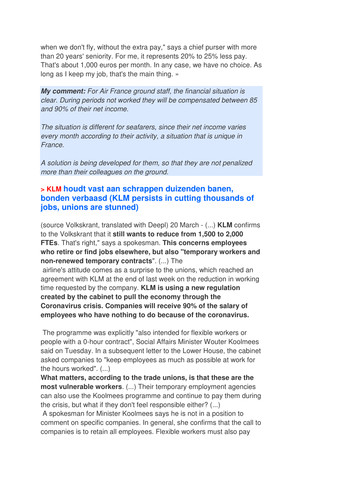when we don't fly, without the extra pay," says a chief purser with more than 20 years' seniority. For me, it represents 20% to 25% less pay. That's about 1,000 euros per month. In any case, we have no choice. As long as I keep my job, that's the main thing. »

*My comment:* For Air France ground staff, the financial situation is clear. During periods not worked they will be compensated between 85 and 90% of their net income.

The situation is different for seafarers, since their net income varies every month according to their activity, a situation that is unique in France.

A solution is being developed for them, so that they are not penalized more than their colleagues on the ground.

## **> KLM houdt vast aan schrappen duizenden banen, bonden verbaasd (KLM persists in cutting thousands of jobs, unions are stunned)**

(source Volkskrant, translated with Deepl) 20 March - (...) **KLM** confirms to the Volkskrant that it **still wants to reduce from 1,500 to 2,000 FTEs**. That's right," says a spokesman. **This concerns employees who retire or find jobs elsewhere, but also "temporary workers and non-renewed temporary contracts**". (...) The

 airline's attitude comes as a surprise to the unions, which reached an agreement with KLM at the end of last week on the reduction in working time requested by the company. **KLM is using a new regulation created by the cabinet to pull the economy through the Coronavirus crisis. Companies will receive 90% of the salary of employees who have nothing to do because of the coronavirus.** 

 The programme was explicitly "also intended for flexible workers or people with a 0-hour contract", Social Affairs Minister Wouter Koolmees said on Tuesday. In a subsequent letter to the Lower House, the cabinet asked companies to "keep employees as much as possible at work for the hours worked". (...)

**What matters, according to the trade unions, is that these are the most vulnerable workers**. (...) Their temporary employment agencies can also use the Koolmees programme and continue to pay them during the crisis, but what if they don't feel responsible either? (...)

 A spokesman for Minister Koolmees says he is not in a position to comment on specific companies. In general, she confirms that the call to companies is to retain all employees. Flexible workers must also pay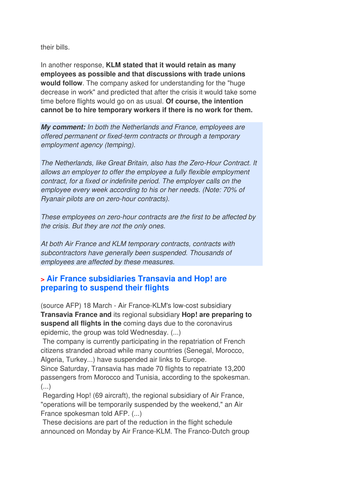their bills.

In another response, **KLM stated that it would retain as many employees as possible and that discussions with trade unions would follow**. The company asked for understanding for the "huge decrease in work" and predicted that after the crisis it would take some time before flights would go on as usual. **Of course, the intention cannot be to hire temporary workers if there is no work for them.**

*My comment:* In both the Netherlands and France, employees are offered permanent or fixed-term contracts or through a temporary employment agency (temping).

The Netherlands, like Great Britain, also has the Zero-Hour Contract. It allows an employer to offer the employee a fully flexible employment contract, for a fixed or indefinite period. The employer calls on the employee every week according to his or her needs. (Note: 70% of Ryanair pilots are on zero-hour contracts).

These employees on zero-hour contracts are the first to be affected by the crisis. But they are not the only ones.

At both Air France and KLM temporary contracts, contracts with subcontractors have generally been suspended. Thousands of employees are affected by these measures.

## **> Air France subsidiaries Transavia and Hop! are preparing to suspend their flights**

(source AFP) 18 March - Air France-KLM's low-cost subsidiary **Transavia France and** its regional subsidiary **Hop! are preparing to suspend all flights in the** coming days due to the coronavirus epidemic, the group was told Wednesday. (...)

 The company is currently participating in the repatriation of French citizens stranded abroad while many countries (Senegal, Morocco, Algeria, Turkey...) have suspended air links to Europe.

Since Saturday, Transavia has made 70 flights to repatriate 13,200 passengers from Morocco and Tunisia, according to the spokesman. (...)

 Regarding Hop! (69 aircraft), the regional subsidiary of Air France, "operations will be temporarily suspended by the weekend," an Air France spokesman told AFP. (...)

 These decisions are part of the reduction in the flight schedule announced on Monday by Air France-KLM. The Franco-Dutch group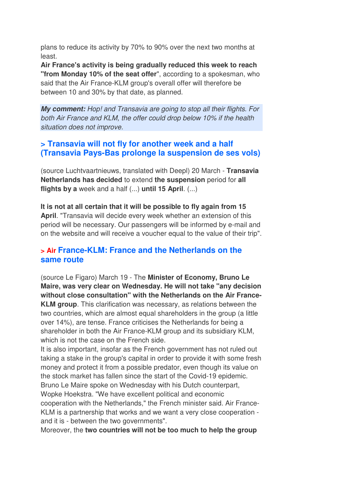plans to reduce its activity by 70% to 90% over the next two months at least.

**Air France's activity is being gradually reduced this week to reach "from Monday 10% of the seat offer**", according to a spokesman, who said that the Air France-KLM group's overall offer will therefore be between 10 and 30% by that date, as planned.

*My comment:* Hop! and Transavia are going to stop all their flights. For both Air France and KLM, the offer could drop below 10% if the health situation does not improve.

## **> Transavia will not fly for another week and a half (Transavia Pays-Bas prolonge la suspension de ses vols)**

(source Luchtvaartnieuws, translated with Deepl) 20 March - **Transavia Netherlands has decided** to extend **the suspension** period for **all flights by a** week and a half (...) **until 15 April**. (...)

**It is not at all certain that it will be possible to fly again from 15 April**. "Transavia will decide every week whether an extension of this period will be necessary. Our passengers will be informed by e-mail and on the website and will receive a voucher equal to the value of their trip".

## **> Air France-KLM: France and the Netherlands on the same route**

(source Le Figaro) March 19 - The **Minister of Economy, Bruno Le Maire, was very clear on Wednesday. He will not take "any decision without close consultation" with the Netherlands on the Air France-KLM group**. This clarification was necessary, as relations between the two countries, which are almost equal shareholders in the group (a little over 14%), are tense. France criticises the Netherlands for being a shareholder in both the Air France-KLM group and its subsidiary KLM, which is not the case on the French side.

It is also important, insofar as the French government has not ruled out taking a stake in the group's capital in order to provide it with some fresh money and protect it from a possible predator, even though its value on the stock market has fallen since the start of the Covid-19 epidemic. Bruno Le Maire spoke on Wednesday with his Dutch counterpart, Wopke Hoekstra. "We have excellent political and economic cooperation with the Netherlands," the French minister said. Air France-KLM is a partnership that works and we want a very close cooperation and it is - between the two governments".

Moreover, the **two countries will not be too much to help the group**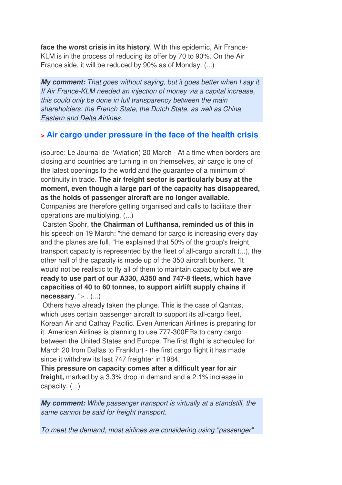**face the worst crisis in its history**. With this epidemic, Air France-KLM is in the process of reducing its offer by 70 to 90%. On the Air France side, it will be reduced by 90% as of Monday. (...)

*My comment:* That goes without saying, but it goes better when I say it. If Air France-KLM needed an injection of money via a capital increase, this could only be done in full transparency between the main shareholders: the French State, the Dutch State, as well as China Eastern and Delta Airlines.

## **> Air cargo under pressure in the face of the health crisis**

(source: Le Journal de l'Aviation) 20 March - At a time when borders are closing and countries are turning in on themselves, air cargo is one of the latest openings to the world and the guarantee of a minimum of continuity in trade. **The air freight sector is particularly busy at the moment, even though a large part of the capacity has disappeared, as the holds of passenger aircraft are no longer available.** 

Companies are therefore getting organised and calls to facilitate their operations are multiplying. (...)

 Carsten Spohr, **the Chairman of Lufthansa, reminded us of this in** his speech on 19 March: "the demand for cargo is increasing every day and the planes are full. "He explained that 50% of the group's freight transport capacity is represented by the fleet of all-cargo aircraft (...), the other half of the capacity is made up of the 350 aircraft bunkers. "It would not be realistic to fly all of them to maintain capacity but **we are ready to use part of our A330, A350 and 747-8 fleets, which have capacities of 40 to 60 tonnes, to support airlift supply chains if necessary**. "» . (...)

 Others have already taken the plunge. This is the case of Qantas, which uses certain passenger aircraft to support its all-cargo fleet, Korean Air and Cathay Pacific. Even American Airlines is preparing for it. American Airlines is planning to use 777-300ERs to carry cargo between the United States and Europe. The first flight is scheduled for March 20 from Dallas to Frankfurt - the first cargo flight it has made since it withdrew its last 747 freighter in 1984.

**This pressure on capacity comes after a difficult year for air freight,** marked by a 3.3% drop in demand and a 2.1% increase in capacity. (...)

*My comment:* While passenger transport is virtually at a standstill, the same cannot be said for freight transport.

To meet the demand, most airlines are considering using "passenger"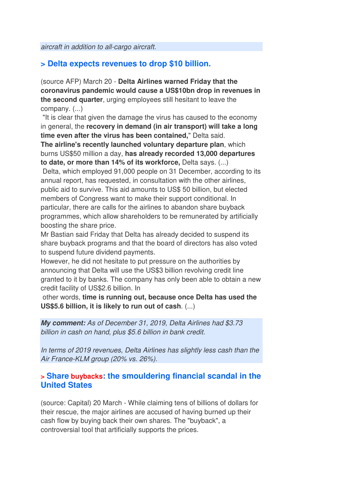aircraft in addition to all-cargo aircraft.

## **> Delta expects revenues to drop \$10 billion.**

(source AFP) March 20 - **Delta Airlines warned Friday that the coronavirus pandemic would cause a US\$10bn drop in revenues in the second quarter**, urging employees still hesitant to leave the company. (...)

 "It is clear that given the damage the virus has caused to the economy in general, the **recovery in demand (in air transport) will take a long time even after the virus has been contained,**" Delta said.

**The airline's recently launched voluntary departure plan**, which burns US\$50 million a day, **has already recorded 13,000 departures to date, or more than 14% of its workforce,** Delta says. (...)

 Delta, which employed 91,000 people on 31 December, according to its annual report, has requested, in consultation with the other airlines, public aid to survive. This aid amounts to US\$ 50 billion, but elected members of Congress want to make their support conditional. In particular, there are calls for the airlines to abandon share buyback programmes, which allow shareholders to be remunerated by artificially boosting the share price.

Mr Bastian said Friday that Delta has already decided to suspend its share buyback programs and that the board of directors has also voted to suspend future dividend payments.

However, he did not hesitate to put pressure on the authorities by announcing that Delta will use the US\$3 billion revolving credit line granted to it by banks. The company has only been able to obtain a new credit facility of US\$2.6 billion. In

 other words, **time is running out, because once Delta has used the US\$5.6 billion, it is likely to run out of cash**. (...)

*My comment:* As of December 31, 2019, Delta Airlines had \$3.73 billion in cash on hand, plus \$5.6 billion in bank credit.

In terms of 2019 revenues, Delta Airlines has slightly less cash than the Air France-KLM group (20% vs. 26%).

#### **> Share buybacks: the smouldering financial scandal in the United States**

(source: Capital) 20 March - While claiming tens of billions of dollars for their rescue, the major airlines are accused of having burned up their cash flow by buying back their own shares. The "buyback", a controversial tool that artificially supports the prices.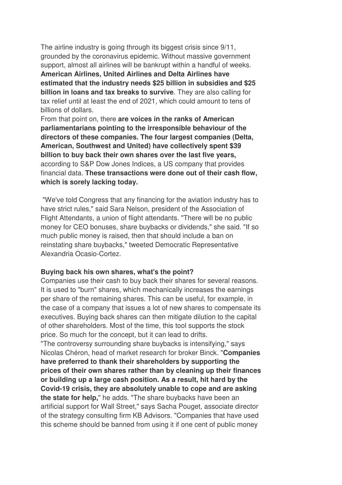The airline industry is going through its biggest crisis since 9/11, grounded by the coronavirus epidemic. Without massive government support, almost all airlines will be bankrupt within a handful of weeks.

**American Airlines, United Airlines and Delta Airlines have estimated that the industry needs \$25 billion in subsidies and \$25 billion in loans and tax breaks to survive**. They are also calling for tax relief until at least the end of 2021, which could amount to tens of billions of dollars.

From that point on, there **are voices in the ranks of American parliamentarians pointing to the irresponsible behaviour of the directors of these companies. The four largest companies (Delta, American, Southwest and United) have collectively spent \$39 billion to buy back their own shares over the last five years,** according to S&P Dow Jones Indices, a US company that provides financial data. **These transactions were done out of their cash flow, which is sorely lacking today.** 

 "We've told Congress that any financing for the aviation industry has to have strict rules," said Sara Nelson, president of the Association of Flight Attendants, a union of flight attendants. "There will be no public money for CEO bonuses, share buybacks or dividends," she said. "If so much public money is raised, then that should include a ban on reinstating share buybacks," tweeted Democratic Representative Alexandria Ocasio-Cortez.

#### **Buying back his own shares, what's the point?**

Companies use their cash to buy back their shares for several reasons. It is used to "burn" shares, which mechanically increases the earnings per share of the remaining shares. This can be useful, for example, in the case of a company that issues a lot of new shares to compensate its executives. Buying back shares can then mitigate dilution to the capital of other shareholders. Most of the time, this tool supports the stock price. So much for the concept, but it can lead to drifts.

"The controversy surrounding share buybacks is intensifying," says Nicolas Chéron, head of market research for broker Binck. "**Companies have preferred to thank their shareholders by supporting the prices of their own shares rather than by cleaning up their finances or building up a large cash position. As a result, hit hard by the Covid-19 crisis, they are absolutely unable to cope and are asking the state for help,**" he adds. "The share buybacks have been an artificial support for Wall Street," says Sacha Pouget, associate director of the strategy consulting firm KB Advisors. "Companies that have used this scheme should be banned from using it if one cent of public money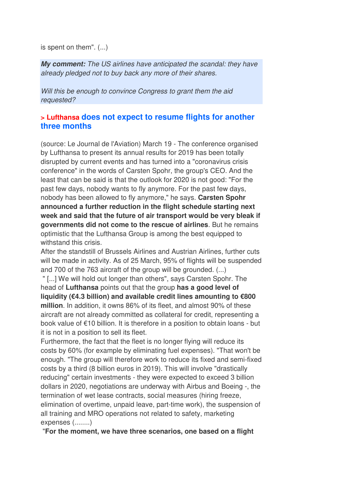is spent on them". (...)

*My comment:* The US airlines have anticipated the scandal: they have already pledged not to buy back any more of their shares.

Will this be enough to convince Congress to grant them the aid requested?

#### **> Lufthansa does not expect to resume flights for another three months**

(source: Le Journal de l'Aviation) March 19 - The conference organised by Lufthansa to present its annual results for 2019 has been totally disrupted by current events and has turned into a "coronavirus crisis conference" in the words of Carsten Spohr, the group's CEO. And the least that can be said is that the outlook for 2020 is not good: "For the past few days, nobody wants to fly anymore. For the past few days, nobody has been allowed to fly anymore," he says. **Carsten Spohr announced a further reduction in the flight schedule starting next week and said that the future of air transport would be very bleak if governments did not come to the rescue of airlines**. But he remains optimistic that the Lufthansa Group is among the best equipped to withstand this crisis.

After the standstill of Brussels Airlines and Austrian Airlines, further cuts will be made in activity. As of 25 March, 95% of flights will be suspended and 700 of the 763 aircraft of the group will be grounded. (...)

 " [...] We will hold out longer than others", says Carsten Spohr. The head of **Lufthansa** points out that the group **has a good level of liquidity (€4.3 billion) and available credit lines amounting to €800 million**. In addition, it owns 86% of its fleet, and almost 90% of these aircraft are not already committed as collateral for credit, representing a book value of €10 billion. It is therefore in a position to obtain loans - but it is not in a position to sell its fleet.

Furthermore, the fact that the fleet is no longer flying will reduce its costs by 60% (for example by eliminating fuel expenses). "That won't be enough. "The group will therefore work to reduce its fixed and semi-fixed costs by a third (8 billion euros in 2019). This will involve "drastically reducing" certain investments - they were expected to exceed 3 billion dollars in 2020, negotiations are underway with Airbus and Boeing -, the termination of wet lease contracts, social measures (hiring freeze, elimination of overtime, unpaid leave, part-time work), the suspension of all training and MRO operations not related to safety, marketing expenses (........)

"**For the moment, we have three scenarios, one based on a flight**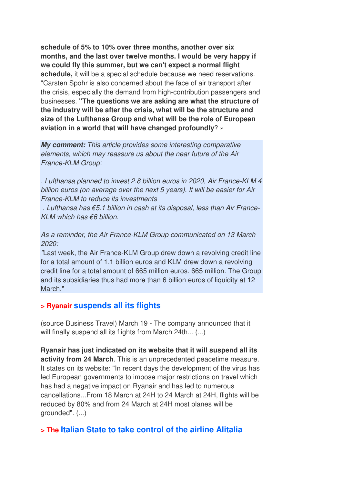**schedule of 5% to 10% over three months, another over six months, and the last over twelve months. I would be very happy if we could fly this summer, but we can't expect a normal flight schedule,** it will be a special schedule because we need reservations. "Carsten Spohr is also concerned about the face of air transport after the crisis, especially the demand from high-contribution passengers and businesses. **"The questions we are asking are what the structure of the industry will be after the crisis, what will be the structure and size of the Lufthansa Group and what will be the role of European aviation in a world that will have changed profoundly**? »

*My comment:* This article provides some interesting comparative elements, which may reassure us about the near future of the Air France-KLM Group:

. Lufthansa planned to invest 2.8 billion euros in 2020, Air France-KLM 4 billion euros (on average over the next 5 years). It will be easier for Air France-KLM to reduce its investments

 . Lufthansa has €5.1 billion in cash at its disposal, less than Air France-KI M which has  $€6$  billion.

As a reminder, the Air France-KLM Group communicated on 13 March 2020:

"Last week, the Air France-KLM Group drew down a revolving credit line for a total amount of 1.1 billion euros and KLM drew down a revolving credit line for a total amount of 665 million euros. 665 million. The Group and its subsidiaries thus had more than 6 billion euros of liquidity at 12 March."

#### **> Ryanair suspends all its flights**

(source Business Travel) March 19 - The company announced that it will finally suspend all its flights from March 24th... (...)

**Ryanair has just indicated on its website that it will suspend all its activity from 24 March**. This is an unprecedented peacetime measure. It states on its website: "In recent days the development of the virus has led European governments to impose major restrictions on travel which has had a negative impact on Ryanair and has led to numerous cancellations...From 18 March at 24H to 24 March at 24H, flights will be reduced by 80% and from 24 March at 24H most planes will be grounded". (...)

#### **> The Italian State to take control of the airline Alitalia**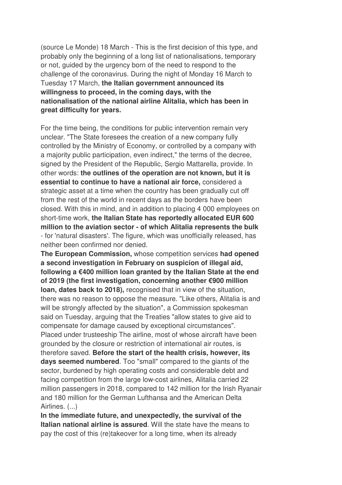(source Le Monde) 18 March - This is the first decision of this type, and probably only the beginning of a long list of nationalisations, temporary or not, guided by the urgency born of the need to respond to the challenge of the coronavirus. During the night of Monday 16 March to Tuesday 17 March, **the Italian government announced its willingness to proceed, in the coming days, with the nationalisation of the national airline Alitalia, which has been in great difficulty for years.** 

For the time being, the conditions for public intervention remain very unclear. "The State foresees the creation of a new company fully controlled by the Ministry of Economy, or controlled by a company with a majority public participation, even indirect," the terms of the decree, signed by the President of the Republic, Sergio Mattarella, provide. In other words: **the outlines of the operation are not known, but it is essential to continue to have a national air force,** considered a strategic asset at a time when the country has been gradually cut off from the rest of the world in recent days as the borders have been closed. With this in mind, and in addition to placing 4 000 employees on short-time work, **the Italian State has reportedly allocated EUR 600 million to the aviation sector - of which Alitalia represents the bulk** - for 'natural disasters'. The figure, which was unofficially released, has neither been confirmed nor denied.

**The European Commission,** whose competition services **had opened a second investigation in February on suspicion of illegal aid, following a €400 million loan granted by the Italian State at the end of 2019 (the first investigation, concerning another €900 million loan, dates back to 2018),** recognised that in view of the situation, there was no reason to oppose the measure. "Like others, Alitalia is and will be strongly affected by the situation", a Commission spokesman said on Tuesday, arguing that the Treaties "allow states to give aid to compensate for damage caused by exceptional circumstances". Placed under trusteeship The airline, most of whose aircraft have been grounded by the closure or restriction of international air routes, is therefore saved. **Before the start of the health crisis, however, its days seemed numbered**. Too "small" compared to the giants of the sector, burdened by high operating costs and considerable debt and facing competition from the large low-cost airlines, Alitalia carried 22 million passengers in 2018, compared to 142 million for the Irish Ryanair and 180 million for the German Lufthansa and the American Delta Airlines. (...)

**In the immediate future, and unexpectedly, the survival of the Italian national airline is assured**. Will the state have the means to pay the cost of this (re)takeover for a long time, when its already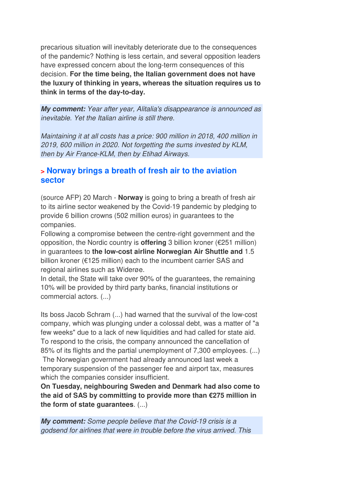precarious situation will inevitably deteriorate due to the consequences of the pandemic? Nothing is less certain, and several opposition leaders have expressed concern about the long-term consequences of this decision. **For the time being, the Italian government does not have the luxury of thinking in years, whereas the situation requires us to think in terms of the day-to-day.**

*My comment:* Year after year, Alitalia's disappearance is announced as inevitable. Yet the Italian airline is still there.

Maintaining it at all costs has a price: 900 million in 2018, 400 million in 2019, 600 million in 2020. Not forgetting the sums invested by KLM, then by Air France-KLM, then by Etihad Airways.

## **> Norway brings a breath of fresh air to the aviation sector**

(source AFP) 20 March - **Norway** is going to bring a breath of fresh air to its airline sector weakened by the Covid-19 pandemic by pledging to provide 6 billion crowns (502 million euros) in guarantees to the companies.

Following a compromise between the centre-right government and the opposition, the Nordic country is **offering** 3 billion kroner (€251 million) in guarantees to **the low-cost airline Norwegian Air Shuttle and** 1.5 billion kroner (€125 million) each to the incumbent carrier SAS and regional airlines such as Widerøe.

In detail, the State will take over 90% of the guarantees, the remaining 10% will be provided by third party banks, financial institutions or commercial actors. (...)

Its boss Jacob Schram (...) had warned that the survival of the low-cost company, which was plunging under a colossal debt, was a matter of "a few weeks" due to a lack of new liquidities and had called for state aid. To respond to the crisis, the company announced the cancellation of 85% of its flights and the partial unemployment of 7,300 employees. (...)

 The Norwegian government had already announced last week a temporary suspension of the passenger fee and airport tax, measures which the companies consider insufficient.

**On Tuesday, neighbouring Sweden and Denmark had also come to the aid of SAS by committing to provide more than €275 million in the form of state guarantees**. (...)

*My comment:* Some people believe that the Covid-19 crisis is a godsend for airlines that were in trouble before the virus arrived. This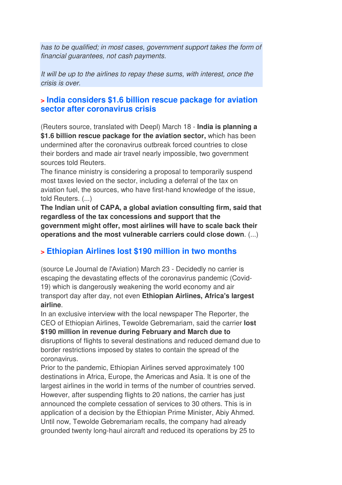has to be qualified; in most cases, government support takes the form of financial guarantees, not cash payments.

It will be up to the airlines to repay these sums, with interest, once the crisis is over.

## **> India considers \$1.6 billion rescue package for aviation sector after coronavirus crisis**

(Reuters source, translated with Deepl) March 18 - **India is planning a \$1.6 billion rescue package for the aviation sector,** which has been undermined after the coronavirus outbreak forced countries to close their borders and made air travel nearly impossible, two government sources told Reuters.

The finance ministry is considering a proposal to temporarily suspend most taxes levied on the sector, including a deferral of the tax on aviation fuel, the sources, who have first-hand knowledge of the issue, told Reuters. (...)

**The Indian unit of CAPA, a global aviation consulting firm, said that regardless of the tax concessions and support that the government might offer, most airlines will have to scale back their operations and the most vulnerable carriers could close down**. (...)

## **> Ethiopian Airlines lost \$190 million in two months**

(source Le Journal de l'Aviation) March 23 - Decidedly no carrier is escaping the devastating effects of the coronavirus pandemic (Covid-19) which is dangerously weakening the world economy and air transport day after day, not even **Ethiopian Airlines, Africa's largest airline**.

In an exclusive interview with the local newspaper The Reporter, the CEO of Ethiopian Airlines, Tewolde Gebremariam, said the carrier **lost \$190 million in revenue during February and March due to** disruptions of flights to several destinations and reduced demand due to border restrictions imposed by states to contain the spread of the coronavirus.

Prior to the pandemic, Ethiopian Airlines served approximately 100 destinations in Africa, Europe, the Americas and Asia. It is one of the largest airlines in the world in terms of the number of countries served. However, after suspending flights to 20 nations, the carrier has just announced the complete cessation of services to 30 others. This is in application of a decision by the Ethiopian Prime Minister, Abiy Ahmed. Until now, Tewolde Gebremariam recalls, the company had already grounded twenty long-haul aircraft and reduced its operations by 25 to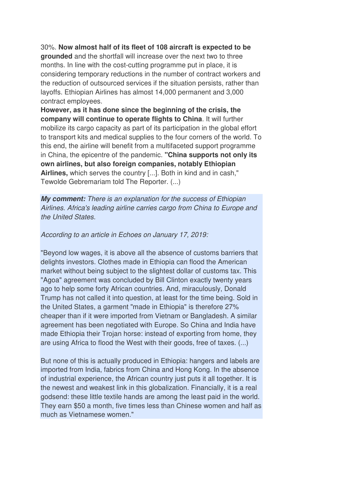30%. **Now almost half of its fleet of 108 aircraft is expected to be grounded** and the shortfall will increase over the next two to three months. In line with the cost-cutting programme put in place, it is considering temporary reductions in the number of contract workers and the reduction of outsourced services if the situation persists, rather than layoffs. Ethiopian Airlines has almost 14,000 permanent and 3,000 contract employees.

**However, as it has done since the beginning of the crisis, the company will continue to operate flights to China**. It will further mobilize its cargo capacity as part of its participation in the global effort to transport kits and medical supplies to the four corners of the world. To this end, the airline will benefit from a multifaceted support programme in China, the epicentre of the pandemic. **"China supports not only its own airlines, but also foreign companies, notably Ethiopian Airlines,** which serves the country [...]. Both in kind and in cash," Tewolde Gebremariam told The Reporter. (...)

*My comment:* There is an explanation for the success of Ethiopian Airlines. Africa's leading airline carries cargo from China to Europe and the United States.

According to an article in Echoes on January 17, 2019:

"Beyond low wages, it is above all the absence of customs barriers that delights investors. Clothes made in Ethiopia can flood the American market without being subject to the slightest dollar of customs tax. This "Agoa" agreement was concluded by Bill Clinton exactly twenty years ago to help some forty African countries. And, miraculously, Donald Trump has not called it into question, at least for the time being. Sold in the United States, a garment "made in Ethiopia" is therefore 27% cheaper than if it were imported from Vietnam or Bangladesh. A similar agreement has been negotiated with Europe. So China and India have made Ethiopia their Trojan horse: instead of exporting from home, they are using Africa to flood the West with their goods, free of taxes. (...)

But none of this is actually produced in Ethiopia: hangers and labels are imported from India, fabrics from China and Hong Kong. In the absence of industrial experience, the African country just puts it all together. It is the newest and weakest link in this globalization. Financially, it is a real godsend: these little textile hands are among the least paid in the world. They earn \$50 a month, five times less than Chinese women and half as much as Vietnamese women."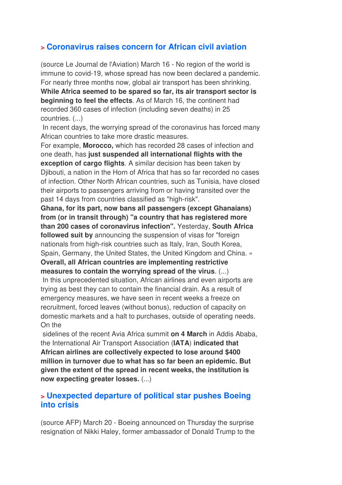## **> Coronavirus raises concern for African civil aviation**

(source Le Journal de l'Aviation) March 16 - No region of the world is immune to covid-19, whose spread has now been declared a pandemic. For nearly three months now, global air transport has been shrinking. **While Africa seemed to be spared so far, its air transport sector is beginning to feel the effects**. As of March 16, the continent had recorded 360 cases of infection (including seven deaths) in 25 countries. (...)

 In recent days, the worrying spread of the coronavirus has forced many African countries to take more drastic measures.

For example, **Morocco,** which has recorded 28 cases of infection and one death, has **just suspended all international flights with the exception of cargo flights**. A similar decision has been taken by Djibouti, a nation in the Horn of Africa that has so far recorded no cases of infection. Other North African countries, such as Tunisia, have closed their airports to passengers arriving from or having transited over the past 14 days from countries classified as "high-risk".

**Ghana, for its part, now bans all passengers (except Ghanaians) from (or in transit through) "a country that has registered more than 200 cases of coronavirus infection".** Yesterday, **South Africa followed suit by** announcing the suspension of visas for "foreign nationals from high-risk countries such as Italy, Iran, South Korea, Spain, Germany, the United States, the United Kingdom and China. » **Overall, all African countries are implementing restrictive** 

**measures to contain the worrying spread of the virus**. (...)

 In this unprecedented situation, African airlines and even airports are trying as best they can to contain the financial drain. As a result of emergency measures, we have seen in recent weeks a freeze on recruitment, forced leaves (without bonus), reduction of capacity on domestic markets and a halt to purchases, outside of operating needs. On the

 sidelines of the recent Avia Africa summit **on 4 March** in Addis Ababa, the International Air Transport Association (**IATA**) **indicated that African airlines are collectively expected to lose around \$400 million in turnover due to what has so far been an epidemic. But given the extent of the spread in recent weeks, the institution is now expecting greater losses.** (...)

## **> Unexpected departure of political star pushes Boeing into crisis**

(source AFP) March 20 - Boeing announced on Thursday the surprise resignation of Nikki Haley, former ambassador of Donald Trump to the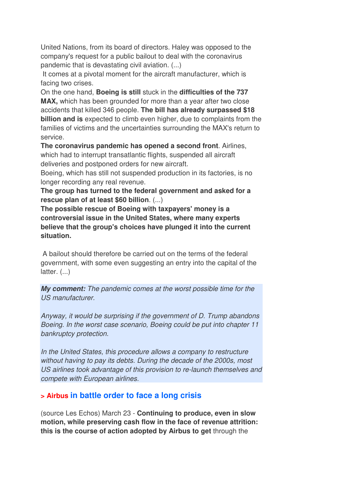United Nations, from its board of directors. Haley was opposed to the company's request for a public bailout to deal with the coronavirus pandemic that is devastating civil aviation. (...)

 It comes at a pivotal moment for the aircraft manufacturer, which is facing two crises.

On the one hand, **Boeing is still** stuck in the **difficulties of the 737 MAX,** which has been grounded for more than a year after two close accidents that killed 346 people. **The bill has already surpassed \$18 billion and is** expected to climb even higher, due to complaints from the families of victims and the uncertainties surrounding the MAX's return to service.

**The coronavirus pandemic has opened a second front**. Airlines, which had to interrupt transatlantic flights, suspended all aircraft deliveries and postponed orders for new aircraft.

Boeing, which has still not suspended production in its factories, is no longer recording any real revenue.

**The group has turned to the federal government and asked for a rescue plan of at least \$60 billion**. (...)

**The possible rescue of Boeing with taxpayers' money is a controversial issue in the United States, where many experts believe that the group's choices have plunged it into the current situation.** 

 A bailout should therefore be carried out on the terms of the federal government, with some even suggesting an entry into the capital of the latter. (...)

*My comment:* The pandemic comes at the worst possible time for the US manufacturer.

Anyway, it would be surprising if the government of D. Trump abandons Boeing. In the worst case scenario, Boeing could be put into chapter 11 bankruptcy protection.

In the United States, this procedure allows a company to restructure without having to pay its debts. During the decade of the 2000s, most US airlines took advantage of this provision to re-launch themselves and compete with European airlines.

## **> Airbus in battle order to face a long crisis**

(source Les Echos) March 23 - **Continuing to produce, even in slow motion, while preserving cash flow in the face of revenue attrition: this is the course of action adopted by Airbus to get** through the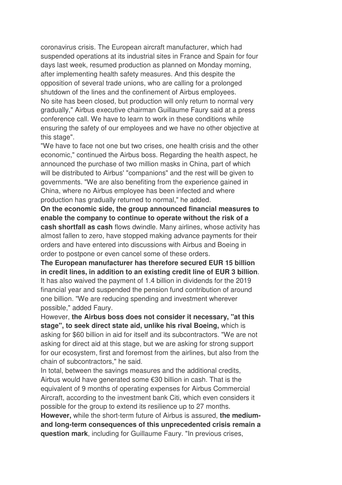coronavirus crisis. The European aircraft manufacturer, which had suspended operations at its industrial sites in France and Spain for four days last week, resumed production as planned on Monday morning, after implementing health safety measures. And this despite the opposition of several trade unions, who are calling for a prolonged shutdown of the lines and the confinement of Airbus employees. No site has been closed, but production will only return to normal very gradually," Airbus executive chairman Guillaume Faury said at a press conference call. We have to learn to work in these conditions while ensuring the safety of our employees and we have no other objective at this stage".

"We have to face not one but two crises, one health crisis and the other economic," continued the Airbus boss. Regarding the health aspect, he announced the purchase of two million masks in China, part of which will be distributed to Airbus' "companions" and the rest will be given to governments. "We are also benefiting from the experience gained in China, where no Airbus employee has been infected and where production has gradually returned to normal," he added.

**On the economic side, the group announced financial measures to enable the company to continue to operate without the risk of a cash shortfall as cash** flows dwindle. Many airlines, whose activity has almost fallen to zero, have stopped making advance payments for their orders and have entered into discussions with Airbus and Boeing in order to postpone or even cancel some of these orders.

**The European manufacturer has therefore secured EUR 15 billion in credit lines, in addition to an existing credit line of EUR 3 billion**. It has also waived the payment of 1.4 billion in dividends for the 2019 financial year and suspended the pension fund contribution of around one billion. "We are reducing spending and investment wherever possible," added Faury.

However, **the Airbus boss does not consider it necessary, "at this stage", to seek direct state aid, unlike his rival Boeing,** which is asking for \$60 billion in aid for itself and its subcontractors. "We are not asking for direct aid at this stage, but we are asking for strong support for our ecosystem, first and foremost from the airlines, but also from the chain of subcontractors," he said.

In total, between the savings measures and the additional credits, Airbus would have generated some €30 billion in cash. That is the equivalent of 9 months of operating expenses for Airbus Commercial Aircraft, according to the investment bank Citi, which even considers it possible for the group to extend its resilience up to 27 months. **However,** while the short-term future of Airbus is assured, **the mediumand long-term consequences of this unprecedented crisis remain a question mark**, including for Guillaume Faury. "In previous crises,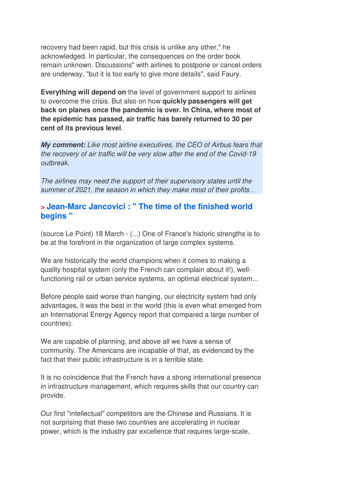recovery had been rapid, but this crisis is unlike any other," he acknowledged. In particular, the consequences on the order book remain unknown. Discussions" with airlines to postpone or cancel orders are underway, "but it is too early to give more details", said Faury.

**Everything will depend on** the level of government support to airlines to overcome the crisis. But also on how **quickly passengers will get back on planes once the pandemic is over. In China, where most of the epidemic has passed, air traffic has barely returned to 30 per cent of its previous level**.

*My comment:* Like most airline executives, the CEO of Airbus fears that the recovery of air traffic will be very slow after the end of the Covid-19 outbreak.

The airlines may need the support of their supervisory states until the summer of 2021, the season in which they make most of their profits .

## **> Jean-Marc Jancovici : " The time of the finished world begins "**

(source Le Point) 18 March - (...) One of France's historic strengths is to be at the forefront in the organization of large complex systems.

We are historically the world champions when it comes to making a quality hospital system (only the French can complain about it!), wellfunctioning rail or urban service systems, an optimal electrical system...

Before people said worse than hanging, our electricity system had only advantages, it was the best in the world (this is even what emerged from an International Energy Agency report that compared a large number of countries).

We are capable of planning, and above all we have a sense of community. The Americans are incapable of that, as evidenced by the fact that their public infrastructure is in a terrible state.

It is no coincidence that the French have a strong international presence in infrastructure management, which requires skills that our country can provide.

Our first "intellectual" competitors are the Chinese and Russians. It is not surprising that these two countries are accelerating in nuclear power, which is the industry par excellence that requires large-scale,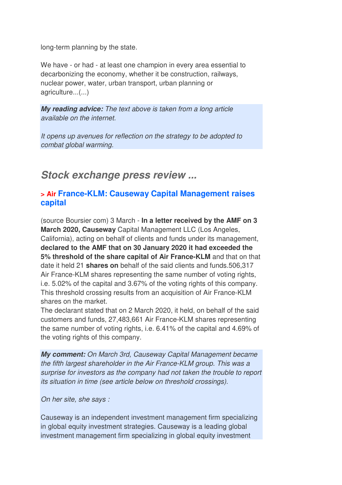long-term planning by the state.

We have - or had - at least one champion in every area essential to decarbonizing the economy, whether it be construction, railways, nuclear power, water, urban transport, urban planning or agriculture...(...)

*My reading advice:* The text above is taken from a long article available on the internet.

It opens up avenues for reflection on the strategy to be adopted to combat global warming.

## *Stock exchange press review ...*

### **> Air France-KLM: Causeway Capital Management raises capital**

(source Boursier com) 3 March - **In a letter received by the AMF on 3 March 2020, Causeway** Capital Management LLC (Los Angeles, California), acting on behalf of clients and funds under its management, **declared to the AMF that on 30 January 2020 it had exceeded the 5% threshold of the share capital of Air France-KLM** and that on that date it held 21 **shares on** behalf of the said clients and funds.506,317 Air France-KLM shares representing the same number of voting rights, i.e. 5.02% of the capital and 3.67% of the voting rights of this company. This threshold crossing results from an acquisition of Air France-KLM shares on the market.

The declarant stated that on 2 March 2020, it held, on behalf of the said customers and funds, 27,483,661 Air France-KLM shares representing the same number of voting rights, i.e. 6.41% of the capital and 4.69% of the voting rights of this company.

*My comment:* On March 3rd, Causeway Capital Management became the fifth largest shareholder in the Air France-KLM group. This was a surprise for investors as the company had not taken the trouble to report its situation in time (see article below on threshold crossings).

On her site, she says :

Causeway is an independent investment management firm specializing in global equity investment strategies. Causeway is a leading global investment management firm specializing in global equity investment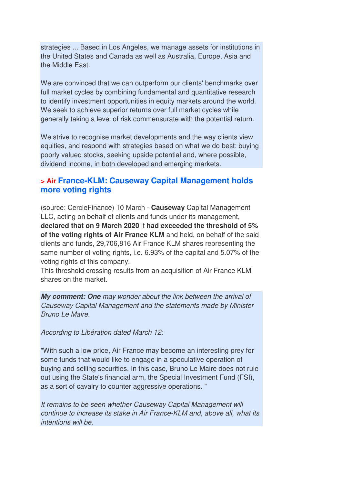strategies ... Based in Los Angeles, we manage assets for institutions in the United States and Canada as well as Australia, Europe, Asia and the Middle East.

We are convinced that we can outperform our clients' benchmarks over full market cycles by combining fundamental and quantitative research to identify investment opportunities in equity markets around the world. We seek to achieve superior returns over full market cycles while generally taking a level of risk commensurate with the potential return.

We strive to recognise market developments and the way clients view equities, and respond with strategies based on what we do best: buying poorly valued stocks, seeking upside potential and, where possible, dividend income, in both developed and emerging markets.

## **> Air France-KLM: Causeway Capital Management holds more voting rights**

(source: CercleFinance) 10 March - **Causeway** Capital Management LLC, acting on behalf of clients and funds under its management, **declared that on 9 March 2020** it **had exceeded the threshold of 5% of the voting rights of Air France KLM** and held, on behalf of the said clients and funds, 29,706,816 Air France KLM shares representing the same number of voting rights, i.e. 6.93% of the capital and 5.07% of the voting rights of this company.

This threshold crossing results from an acquisition of Air France KLM shares on the market.

*My comment: One* may wonder about the link between the arrival of Causeway Capital Management and the statements made by Minister Bruno Le Maire.

According to Libération dated March 12:

"With such a low price, Air France may become an interesting prey for some funds that would like to engage in a speculative operation of buying and selling securities. In this case, Bruno Le Maire does not rule out using the State's financial arm, the Special Investment Fund (FSI), as a sort of cavalry to counter aggressive operations. "

It remains to be seen whether Causeway Capital Management will continue to increase its stake in Air France-KLM and, above all, what its intentions will be.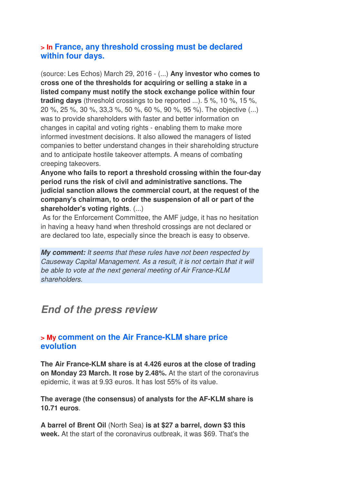## **> In France, any threshold crossing must be declared within four days.**

(source: Les Echos) March 29, 2016 - (...) **Any investor who comes to cross one of the thresholds for acquiring or selling a stake in a listed company must notify the stock exchange police within four trading days** (threshold crossings to be reported ...). 5 %, 10 %, 15 %, 20 %, 25 %, 30 %, 33,3 %, 50 %, 60 %, 90 %, 95 %). The objective (...) was to provide shareholders with faster and better information on changes in capital and voting rights - enabling them to make more informed investment decisions. It also allowed the managers of listed companies to better understand changes in their shareholding structure and to anticipate hostile takeover attempts. A means of combating creeping takeovers.

**Anyone who fails to report a threshold crossing within the four-day period runs the risk of civil and administrative sanctions. The judicial sanction allows the commercial court, at the request of the company's chairman, to order the suspension of all or part of the shareholder's voting rights**. (...)

 As for the Enforcement Committee, the AMF judge, it has no hesitation in having a heavy hand when threshold crossings are not declared or are declared too late, especially since the breach is easy to observe.

*My comment:* It seems that these rules have not been respected by Causeway Capital Management. As a result, it is not certain that it will be able to vote at the next general meeting of Air France-KLM shareholders.

## *End of the press review*

#### **> My comment on the Air France-KLM share price evolution**

**The Air France-KLM share is at 4.426 euros at the close of trading on Monday 23 March. It rose by 2.48%.** At the start of the coronavirus epidemic, it was at 9.93 euros. It has lost 55% of its value.

**The average (the consensus) of analysts for the AF-KLM share is 10.71 euros**.

**A barrel of Brent Oil** (North Sea) **is at \$27 a barrel, down \$3 this week.** At the start of the coronavirus outbreak, it was \$69. That's the